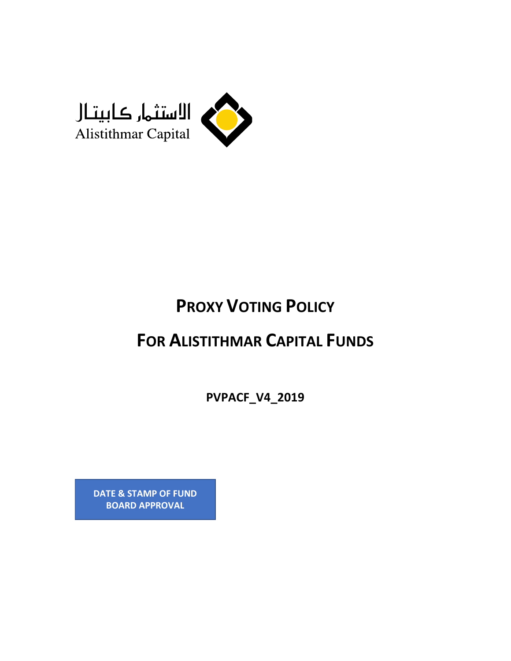

# **PROXY VOTING POLICY**

## **FOR ALISTITHMAR CAPITAL FUNDS**

**PVPACF\_V4\_2019**

**DATE & STAMP OF FUND BOARD APPROVAL**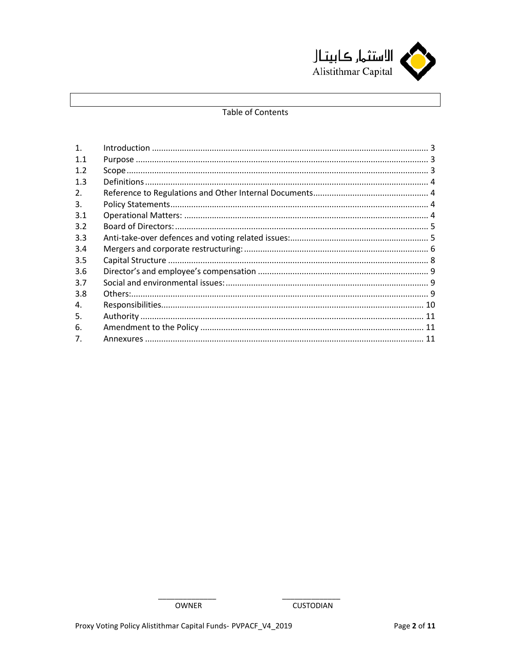

## Table of Contents

| $\mathbf{1}$ . |  |
|----------------|--|
| 1.1            |  |
| 1.2            |  |
| 1.3            |  |
| 2.             |  |
| 3.             |  |
| 3.1            |  |
| 3.2            |  |
| 3.3            |  |
| 3.4            |  |
| 3.5            |  |
| 3.6            |  |
| 3.7            |  |
| 3.8            |  |
| 4.             |  |
| 5.             |  |
| 6.             |  |
| 7.             |  |
|                |  |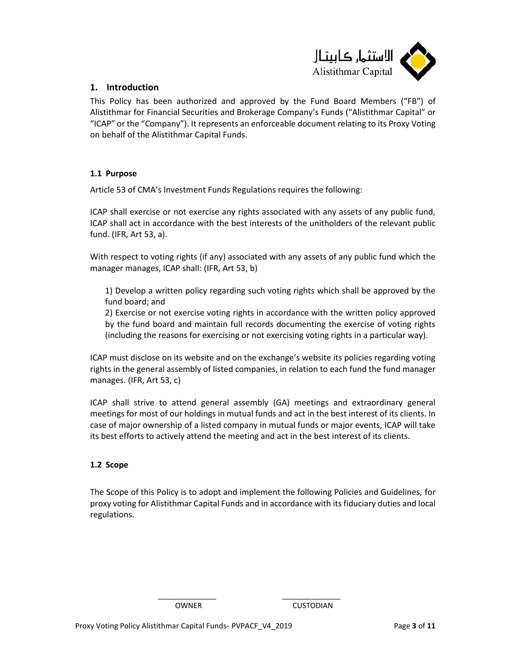

## <span id="page-2-0"></span>**1. Introduction**

This Policy has been authorized and approved by the Fund Board Members ("FB") of Alistithmar for Financial Securities and Brokerage Company's Funds ("Alistithmar Capital" or "ICAP" or the "Company"). It represents an enforceable document relating to its Proxy Voting on behalf of the Alistithmar Capital Funds.

#### <span id="page-2-1"></span>**1.1 Purpose**

Article 53 of CMA's Investment Funds Regulations requires the following:

ICAP shall exercise or not exercise any rights associated with any assets of any public fund, ICAP shall act in accordance with the best interests of the unitholders of the relevant public fund. (IFR, Art 53, a).

With respect to voting rights (if any) associated with any assets of any public fund which the manager manages, ICAP shall: (IFR, Art 53, b)

1) Develop a written policy regarding such voting rights which shall be approved by the fund board; and

2) Exercise or not exercise voting rights in accordance with the written policy approved by the fund board and maintain full records documenting the exercise of voting rights (including the reasons for exercising or not exercising voting rights in a particular way).

ICAP must disclose on its website and on the exchange's website its policies regarding voting rights in the general assembly of listed companies, in relation to each fund the fund manager manages. (IFR, Art 53, c)

ICAP shall strive to attend general assembly (GA) meetings and extraordinary general meetings for most of our holdings in mutual funds and act in the best interest of its clients. In case of major ownership of a listed company in mutual funds or major events, ICAP will take its best efforts to actively attend the meeting and act in the best interest of its clients.

#### <span id="page-2-2"></span>**1.2 Scope**

The Scope of this Policy is to adopt and implement the following Policies and Guidelines, for proxy voting for Alistithmar Capital Funds and in accordance with its fiduciary duties and local regulations.

\_\_\_\_\_\_\_\_\_\_\_\_\_\_ \_\_\_\_\_\_\_\_\_\_\_\_\_\_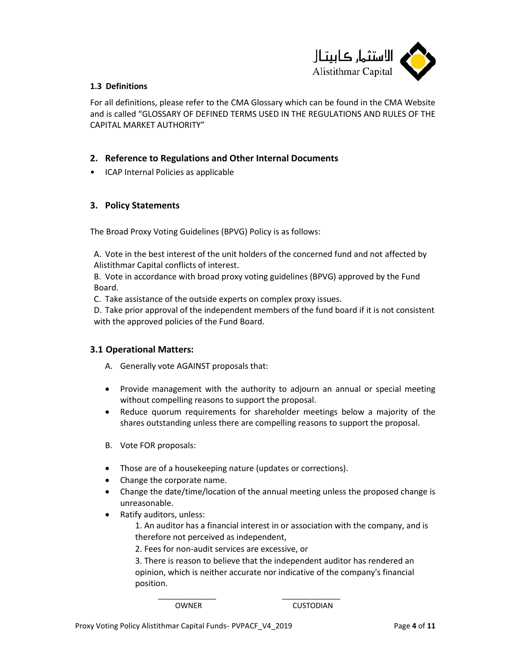

#### <span id="page-3-0"></span>**1.3 Definitions**

For all definitions, please refer to the CMA Glossary which can be found in the CMA Website and is called "GLOSSARY OF DEFINED TERMS USED IN THE REGULATIONS AND RULES OF THE CAPITAL MARKET AUTHORITY"

## <span id="page-3-1"></span>**2. Reference to Regulations and Other Internal Documents**

• ICAP Internal Policies as applicable

## <span id="page-3-2"></span>**3. Policy Statements**

The Broad Proxy Voting Guidelines (BPVG) Policy is as follows:

A. Vote in the best interest of the unit holders of the concerned fund and not affected by Alistithmar Capital conflicts of interest.

B. Vote in accordance with broad proxy voting guidelines (BPVG) approved by the Fund Board.

C. Take assistance of the outside experts on complex proxy issues.

D. Take prior approval of the independent members of the fund board if it is not consistent with the approved policies of the Fund Board.

## <span id="page-3-3"></span>**3.1 Operational Matters:**

- A. Generally vote AGAINST proposals that:
- Provide management with the authority to adjourn an annual or special meeting without compelling reasons to support the proposal.
- Reduce quorum requirements for shareholder meetings below a majority of the shares outstanding unless there are compelling reasons to support the proposal.
- B. Vote FOR proposals:
- Those are of a housekeeping nature (updates or corrections).
- Change the corporate name.
- Change the date/time/location of the annual meeting unless the proposed change is unreasonable.
- Ratify auditors, unless:

1. An auditor has a financial interest in or association with the company, and is therefore not perceived as independent,

2. Fees for non-audit services are excessive, or

\_\_\_\_\_\_\_\_\_\_\_\_\_\_ \_\_\_\_\_\_\_\_\_\_\_\_\_\_

3. There is reason to believe that the independent auditor has rendered an opinion, which is neither accurate nor indicative of the company's financial position.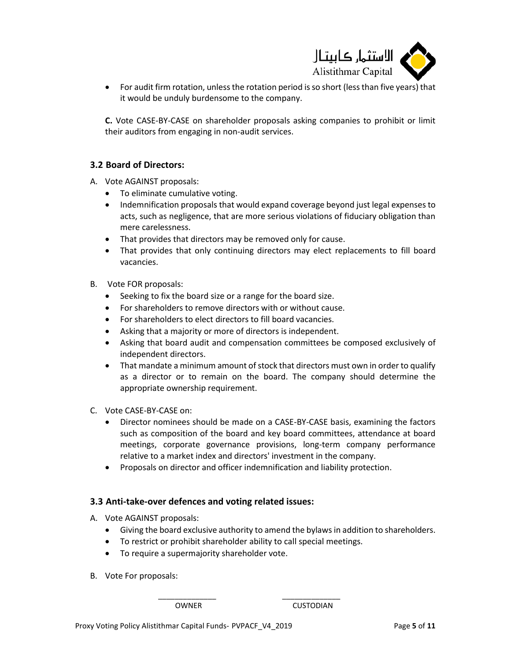

 For audit firm rotation, unless the rotation period is so short (less than five years) that it would be unduly burdensome to the company.

**C.** Vote CASE-BY-CASE on shareholder proposals asking companies to prohibit or limit their auditors from engaging in non-audit services.

## <span id="page-4-0"></span>**3.2 Board of Directors:**

- A. Vote AGAINST proposals:
	- To eliminate cumulative voting.
	- Indemnification proposals that would expand coverage beyond just legal expenses to acts, such as negligence, that are more serious violations of fiduciary obligation than mere carelessness.
	- That provides that directors may be removed only for cause.
	- That provides that only continuing directors may elect replacements to fill board vacancies.
- B. Vote FOR proposals:
	- Seeking to fix the board size or a range for the board size.
	- For shareholders to remove directors with or without cause.
	- For shareholders to elect directors to fill board vacancies.
	- Asking that a majority or more of directors is independent.
	- Asking that board audit and compensation committees be composed exclusively of independent directors.
	- That mandate a minimum amount of stock that directors must own in order to qualify as a director or to remain on the board. The company should determine the appropriate ownership requirement.
- C. Vote CASE-BY-CASE on:
	- Director nominees should be made on a CASE-BY-CASE basis, examining the factors such as composition of the board and key board committees, attendance at board meetings, corporate governance provisions, long-term company performance relative to a market index and directors' investment in the company.
	- Proposals on director and officer indemnification and liability protection.

#### <span id="page-4-1"></span>**3.3 Anti-take-over defences and voting related issues:**

- A. Vote AGAINST proposals:
	- Giving the board exclusive authority to amend the bylaws in addition to shareholders.
	- To restrict or prohibit shareholder ability to call special meetings.
	- To require a supermajority shareholder vote.

\_\_\_\_\_\_\_\_\_\_\_\_\_\_ \_\_\_\_\_\_\_\_\_\_\_\_\_\_

B. Vote For proposals: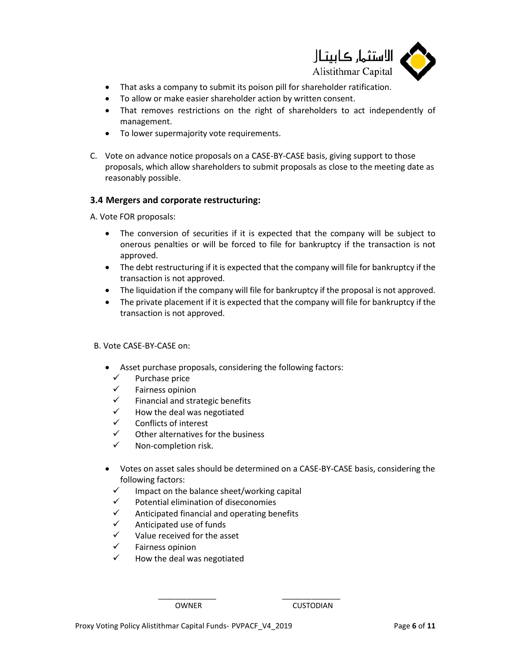

- That asks a company to submit its poison pill for shareholder ratification.
- To allow or make easier shareholder action by written consent.
- That removes restrictions on the right of shareholders to act independently of management.
- To lower supermajority vote requirements.
- C. Vote on advance notice proposals on a CASE-BY-CASE basis, giving support to those proposals, which allow shareholders to submit proposals as close to the meeting date as reasonably possible.

## <span id="page-5-0"></span>**3.4 Mergers and corporate restructuring:**

A. Vote FOR proposals:

- The conversion of securities if it is expected that the company will be subject to onerous penalties or will be forced to file for bankruptcy if the transaction is not approved.
- The debt restructuring if it is expected that the company will file for bankruptcy if the transaction is not approved.
- The liquidation if the company will file for bankruptcy if the proposal is not approved.
- The private placement if it is expected that the company will file for bankruptcy if the transaction is not approved.

#### B. Vote CASE-BY-CASE on:

- Asset purchase proposals, considering the following factors:
	- $\checkmark$  Purchase price
	- $\checkmark$  Fairness opinion
	- $\checkmark$  Financial and strategic benefits
	- $\checkmark$  How the deal was negotiated
	- $\checkmark$  Conflicts of interest
	- $\checkmark$  Other alternatives for the business
	- $\checkmark$  Non-completion risk.
- Votes on asset sales should be determined on a CASE-BY-CASE basis, considering the following factors:
	- $\checkmark$  Impact on the balance sheet/working capital
	- $\checkmark$  Potential elimination of diseconomies
	- $\checkmark$  Anticipated financial and operating benefits

\_\_\_\_\_\_\_\_\_\_\_\_\_\_ \_\_\_\_\_\_\_\_\_\_\_\_\_\_

- $\checkmark$  Anticipated use of funds
- $\checkmark$  Value received for the asset
- $\checkmark$  Fairness opinion
- $\checkmark$  How the deal was negotiated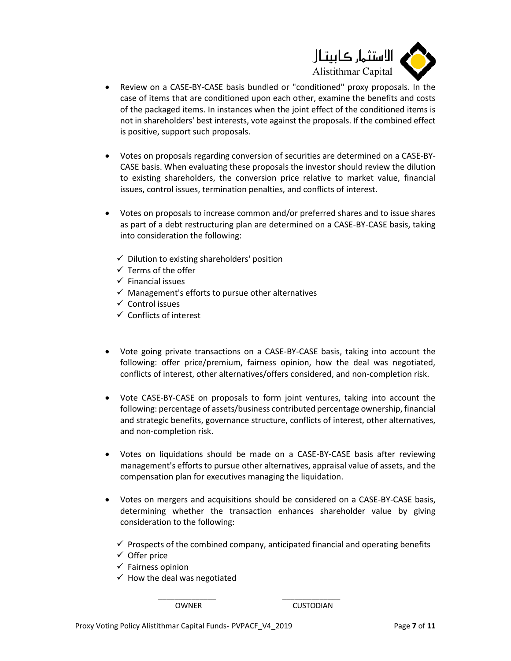

- Review on a CASE-BY-CASE basis bundled or "conditioned" proxy proposals. In the case of items that are conditioned upon each other, examine the benefits and costs of the packaged items. In instances when the joint effect of the conditioned items is not in shareholders' best interests, vote against the proposals. If the combined effect is positive, support such proposals.
- Votes on proposals regarding conversion of securities are determined on a CASE-BY-CASE basis. When evaluating these proposals the investor should review the dilution to existing shareholders, the conversion price relative to market value, financial issues, control issues, termination penalties, and conflicts of interest.
- Votes on proposals to increase common and/or preferred shares and to issue shares as part of a debt restructuring plan are determined on a CASE-BY-CASE basis, taking into consideration the following:
	- $\checkmark$  Dilution to existing shareholders' position
	- $\checkmark$  Terms of the offer
	- $\checkmark$  Financial issues
	- $\checkmark$  Management's efforts to pursue other alternatives
	- $\checkmark$  Control issues
	- $\checkmark$  Conflicts of interest
- Vote going private transactions on a CASE-BY-CASE basis, taking into account the following: offer price/premium, fairness opinion, how the deal was negotiated, conflicts of interest, other alternatives/offers considered, and non-completion risk.
- Vote CASE-BY-CASE on proposals to form joint ventures, taking into account the following: percentage of assets/business contributed percentage ownership, financial and strategic benefits, governance structure, conflicts of interest, other alternatives, and non-completion risk.
- Votes on liquidations should be made on a CASE-BY-CASE basis after reviewing management's efforts to pursue other alternatives, appraisal value of assets, and the compensation plan for executives managing the liquidation.
- Votes on mergers and acquisitions should be considered on a CASE-BY-CASE basis, determining whether the transaction enhances shareholder value by giving consideration to the following:
	- $\checkmark$  Prospects of the combined company, anticipated financial and operating benefits
	- $\checkmark$  Offer price
	- $\checkmark$  Fairness opinion
	- $\checkmark$  How the deal was negotiated

\_\_\_\_\_\_\_\_\_\_\_\_\_\_ \_\_\_\_\_\_\_\_\_\_\_\_\_\_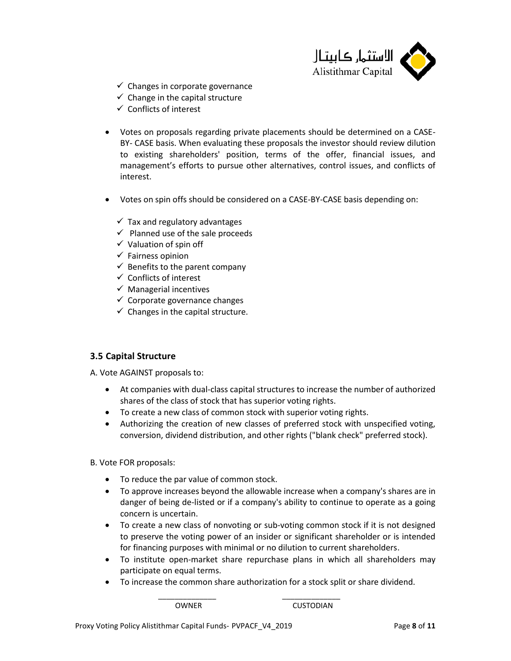

- $\checkmark$  Changes in corporate governance
- $\checkmark$  Change in the capital structure
- $\checkmark$  Conflicts of interest
- Votes on proposals regarding private placements should be determined on a CASE-BY- CASE basis. When evaluating these proposals the investor should review dilution to existing shareholders' position, terms of the offer, financial issues, and management's efforts to pursue other alternatives, control issues, and conflicts of interest.
- Votes on spin offs should be considered on a CASE-BY-CASE basis depending on:
	- $\checkmark$  Tax and regulatory advantages
	- $\checkmark$  Planned use of the sale proceeds
	- $\checkmark$  Valuation of spin off
	- $\checkmark$  Fairness opinion
	- $\checkmark$  Benefits to the parent company
	- $\checkmark$  Conflicts of interest
	- $\checkmark$  Managerial incentives
	- $\checkmark$  Corporate governance changes
	- $\checkmark$  Changes in the capital structure.

## <span id="page-7-0"></span>**3.5 Capital Structure**

A. Vote AGAINST proposals to:

- At companies with dual-class capital structures to increase the number of authorized shares of the class of stock that has superior voting rights.
- To create a new class of common stock with superior voting rights.
- Authorizing the creation of new classes of preferred stock with unspecified voting, conversion, dividend distribution, and other rights ("blank check" preferred stock).

B. Vote FOR proposals:

- To reduce the par value of common stock.
- To approve increases beyond the allowable increase when a company's shares are in danger of being de-listed or if a company's ability to continue to operate as a going concern is uncertain.
- To create a new class of nonvoting or sub-voting common stock if it is not designed to preserve the voting power of an insider or significant shareholder or is intended for financing purposes with minimal or no dilution to current shareholders.
- To institute open-market share repurchase plans in which all shareholders may participate on equal terms.
- To increase the common share authorization for a stock split or share dividend.

\_\_\_\_\_\_\_\_\_\_\_\_\_\_ \_\_\_\_\_\_\_\_\_\_\_\_\_\_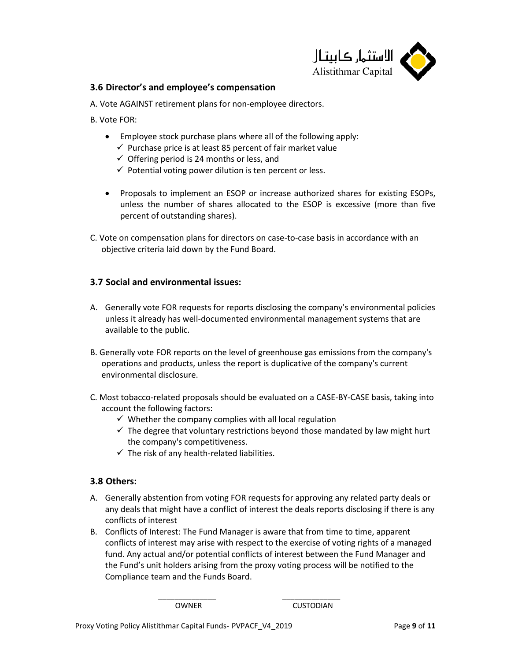

## <span id="page-8-0"></span>**3.6 Director's and employee's compensation**

A. Vote AGAINST retirement plans for non-employee directors.

B. Vote FOR:

- Employee stock purchase plans where all of the following apply:  $\checkmark$  Purchase price is at least 85 percent of fair market value
	- $\checkmark$  Offering period is 24 months or less, and
	- $\checkmark$  Potential voting power dilution is ten percent or less.
- Proposals to implement an ESOP or increase authorized shares for existing ESOPs, unless the number of shares allocated to the ESOP is excessive (more than five percent of outstanding shares).
- C. Vote on compensation plans for directors on case-to-case basis in accordance with an objective criteria laid down by the Fund Board.

## <span id="page-8-1"></span>**3.7 Social and environmental issues:**

- A. Generally vote FOR requests for reports disclosing the company's environmental policies unless it already has well-documented environmental management systems that are available to the public.
- B. Generally vote FOR reports on the level of greenhouse gas emissions from the company's operations and products, unless the report is duplicative of the company's current environmental disclosure.
- C. Most tobacco-related proposals should be evaluated on a CASE-BY-CASE basis, taking into account the following factors:
	- $\checkmark$  Whether the company complies with all local regulation
	- $\checkmark$  The degree that voluntary restrictions beyond those mandated by law might hurt the company's competitiveness.
	- $\checkmark$  The risk of any health-related liabilities.

## <span id="page-8-2"></span>**3.8 Others:**

- A. Generally abstention from voting FOR requests for approving any related party deals or any deals that might have a conflict of interest the deals reports disclosing if there is any conflicts of interest
- B. Conflicts of Interest: The Fund Manager is aware that from time to time, apparent conflicts of interest may arise with respect to the exercise of voting rights of a managed fund. Any actual and/or potential conflicts of interest between the Fund Manager and the Fund's unit holders arising from the proxy voting process will be notified to the Compliance team and the Funds Board.

\_\_\_\_\_\_\_\_\_\_\_\_\_\_ \_\_\_\_\_\_\_\_\_\_\_\_\_\_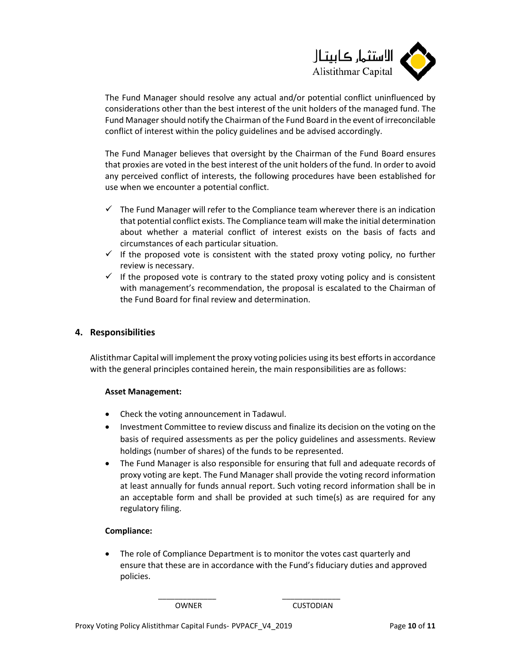

The Fund Manager should resolve any actual and/or potential conflict uninfluenced by considerations other than the best interest of the unit holders of the managed fund. The Fund Manager should notify the Chairman of the Fund Board in the event of irreconcilable conflict of interest within the policy guidelines and be advised accordingly.

The Fund Manager believes that oversight by the Chairman of the Fund Board ensures that proxies are voted in the best interest of the unit holders of the fund. In order to avoid any perceived conflict of interests, the following procedures have been established for use when we encounter a potential conflict.

- $\checkmark$  The Fund Manager will refer to the Compliance team wherever there is an indication that potential conflict exists. The Compliance team will make the initial determination about whether a material conflict of interest exists on the basis of facts and circumstances of each particular situation.
- $\checkmark$  If the proposed vote is consistent with the stated proxy voting policy, no further review is necessary.
- $\checkmark$  If the proposed vote is contrary to the stated proxy voting policy and is consistent with management's recommendation, the proposal is escalated to the Chairman of the Fund Board for final review and determination.

#### <span id="page-9-0"></span>**4. Responsibilities**

Alistithmar Capital will implement the proxy voting policies using its best efforts in accordance with the general principles contained herein, the main responsibilities are as follows:

#### **Asset Management:**

- Check the voting announcement in Tadawul.
- Investment Committee to review discuss and finalize its decision on the voting on the basis of required assessments as per the policy guidelines and assessments. Review holdings (number of shares) of the funds to be represented.
- The Fund Manager is also responsible for ensuring that full and adequate records of proxy voting are kept. The Fund Manager shall provide the voting record information at least annually for funds annual report. Such voting record information shall be in an acceptable form and shall be provided at such time(s) as are required for any regulatory filing.

#### **Compliance:**

 The role of Compliance Department is to monitor the votes cast quarterly and ensure that these are in accordance with the Fund's fiduciary duties and approved policies.

\_\_\_\_\_\_\_\_\_\_\_\_\_\_ \_\_\_\_\_\_\_\_\_\_\_\_\_\_